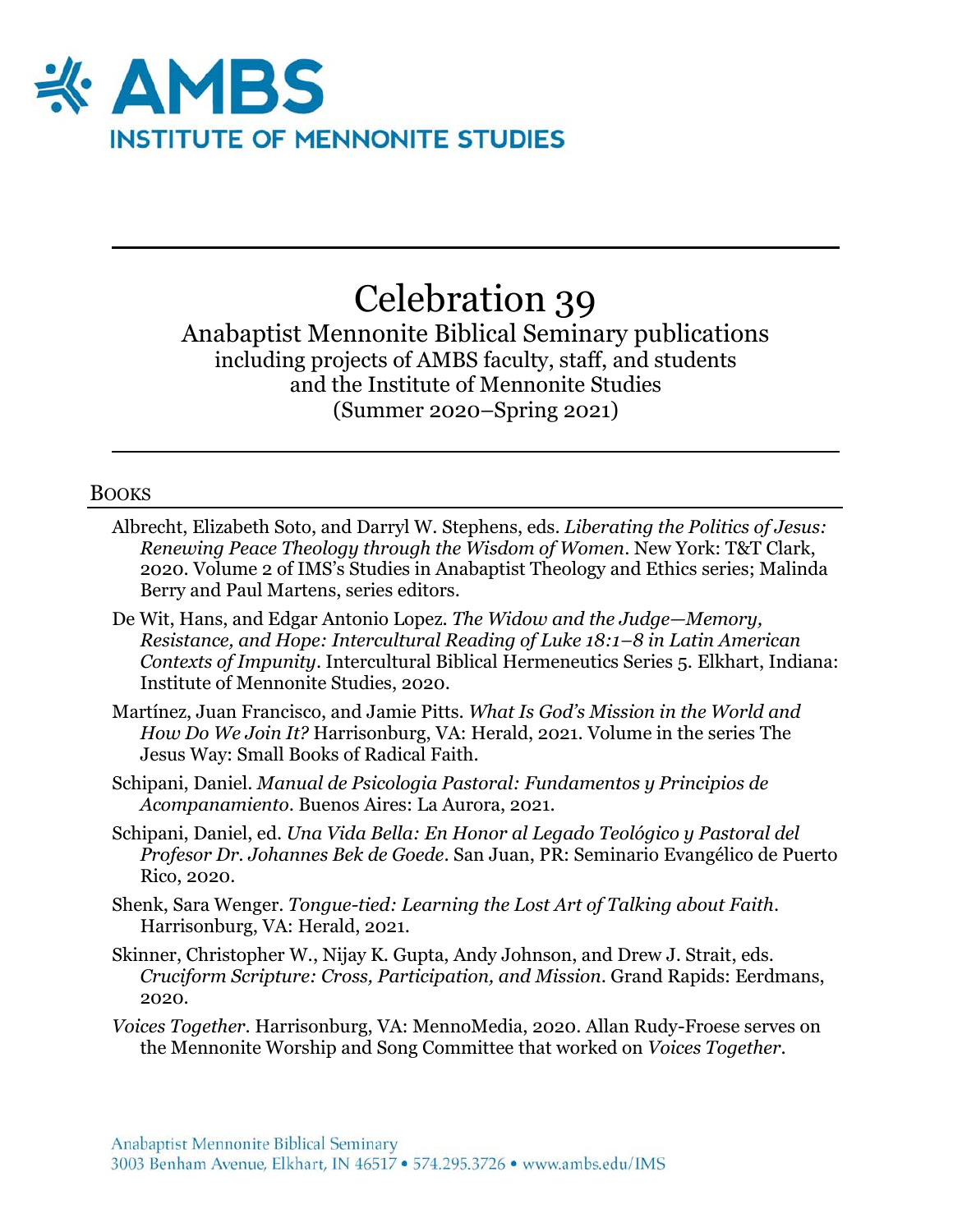

# Celebration 39

Anabaptist Mennonite Biblical Seminary publications including projects of AMBS faculty, staff, and students and the Institute of Mennonite Studies (Summer 2020–Spring 2021)

## BOOKS

- Albrecht, Elizabeth Soto, and Darryl W. Stephens, eds. *Liberating the Politics of Jesus: Renewing Peace Theology through the Wisdom of Women*. New York: T&T Clark, 2020. Volume 2 of IMS's Studies in Anabaptist Theology and Ethics series; Malinda Berry and Paul Martens, series editors.
- De Wit, Hans, and Edgar Antonio Lopez. *The Widow and the Judge—Memory, Resistance, and Hope: Intercultural Reading of Luke 18:1–8 in Latin American Contexts of Impunity*. Intercultural Biblical Hermeneutics Series 5. Elkhart, Indiana: Institute of Mennonite Studies, 2020.
- Martínez, Juan Francisco, and Jamie Pitts. *What Is God's Mission in the World and How Do We Join It?* Harrisonburg, VA: Herald, 2021. Volume in the series The Jesus Way: Small Books of Radical Faith.
- Schipani, Daniel. *Manual de Psicologia Pastoral: Fundamentos y Principios de Acompanamiento*. Buenos Aires: La Aurora, 2021.
- Schipani, Daniel, ed. *Una Vida Bella: En Honor al Legado Teológico y Pastoral del Profesor Dr. Johannes Bek de Goede*. San Juan, PR: Seminario Evangélico de Puerto Rico, 2020.
- Shenk, Sara Wenger. *Tongue-tied: Learning the Lost Art of Talking about Faith*. Harrisonburg, VA: Herald, 2021.
- Skinner, Christopher W., Nijay K. Gupta, Andy Johnson, and Drew J. Strait, eds. *Cruciform Scripture: Cross, Participation, and Mission*. Grand Rapids: Eerdmans, 2020.
- *Voices Together*. Harrisonburg, VA: MennoMedia, 2020. Allan Rudy-Froese serves on the Mennonite Worship and Song Committee that worked on *Voices Together*.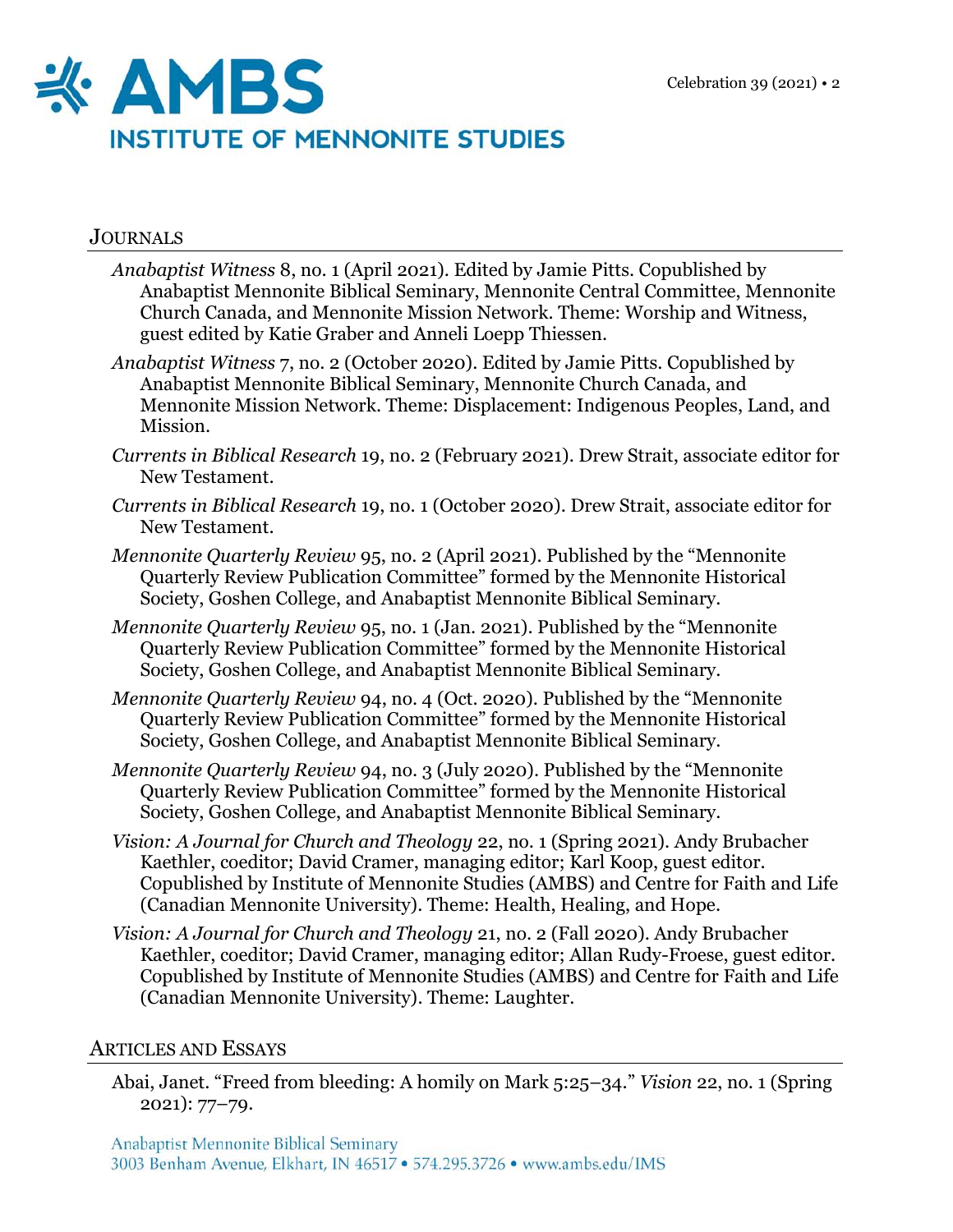

## **JOURNALS**

- *Anabaptist Witness* 8, no. 1 (April 2021). Edited by Jamie Pitts. Copublished by Anabaptist Mennonite Biblical Seminary, Mennonite Central Committee, Mennonite Church Canada, and Mennonite Mission Network. Theme: Worship and Witness, guest edited by Katie Graber and Anneli Loepp Thiessen.
- *Anabaptist Witness* 7, no. 2 (October 2020). Edited by Jamie Pitts. Copublished by Anabaptist Mennonite Biblical Seminary, Mennonite Church Canada, and Mennonite Mission Network. Theme: Displacement: Indigenous Peoples, Land, and Mission.
- *Currents in Biblical Research* 19, no. 2 (February 2021). Drew Strait, associate editor for New Testament.
- *Currents in Biblical Research* 19, no. 1 (October 2020). Drew Strait, associate editor for New Testament.
- *Mennonite Quarterly Review* 95, no. 2 (April 2021). Published by the "Mennonite Quarterly Review Publication Committee" formed by the Mennonite Historical Society, Goshen College, and Anabaptist Mennonite Biblical Seminary.
- *Mennonite Quarterly Review* 95, no. 1 (Jan. 2021). Published by the "Mennonite Quarterly Review Publication Committee" formed by the Mennonite Historical Society, Goshen College, and Anabaptist Mennonite Biblical Seminary.
- *Mennonite Quarterly Review* 94, no. 4 (Oct. 2020). Published by the "Mennonite Quarterly Review Publication Committee" formed by the Mennonite Historical Society, Goshen College, and Anabaptist Mennonite Biblical Seminary.
- *Mennonite Quarterly Review* 94, no. 3 (July 2020). Published by the "Mennonite Quarterly Review Publication Committee" formed by the Mennonite Historical Society, Goshen College, and Anabaptist Mennonite Biblical Seminary.
- *Vision: A Journal for Church and Theology* 22, no. 1 (Spring 2021). Andy Brubacher Kaethler, coeditor; David Cramer, managing editor; Karl Koop, guest editor. Copublished by Institute of Mennonite Studies (AMBS) and Centre for Faith and Life (Canadian Mennonite University). Theme: Health, Healing, and Hope.
- *Vision: A Journal for Church and Theology* 21, no. 2 (Fall 2020). Andy Brubacher Kaethler, coeditor; David Cramer, managing editor; Allan Rudy-Froese, guest editor. Copublished by Institute of Mennonite Studies (AMBS) and Centre for Faith and Life (Canadian Mennonite University). Theme: Laughter.

## ARTICLES AND ESSAYS

Abai, Janet. "Freed from bleeding: A homily on Mark 5:25–34." *Vision* 22, no. 1 (Spring 2021): 77–79.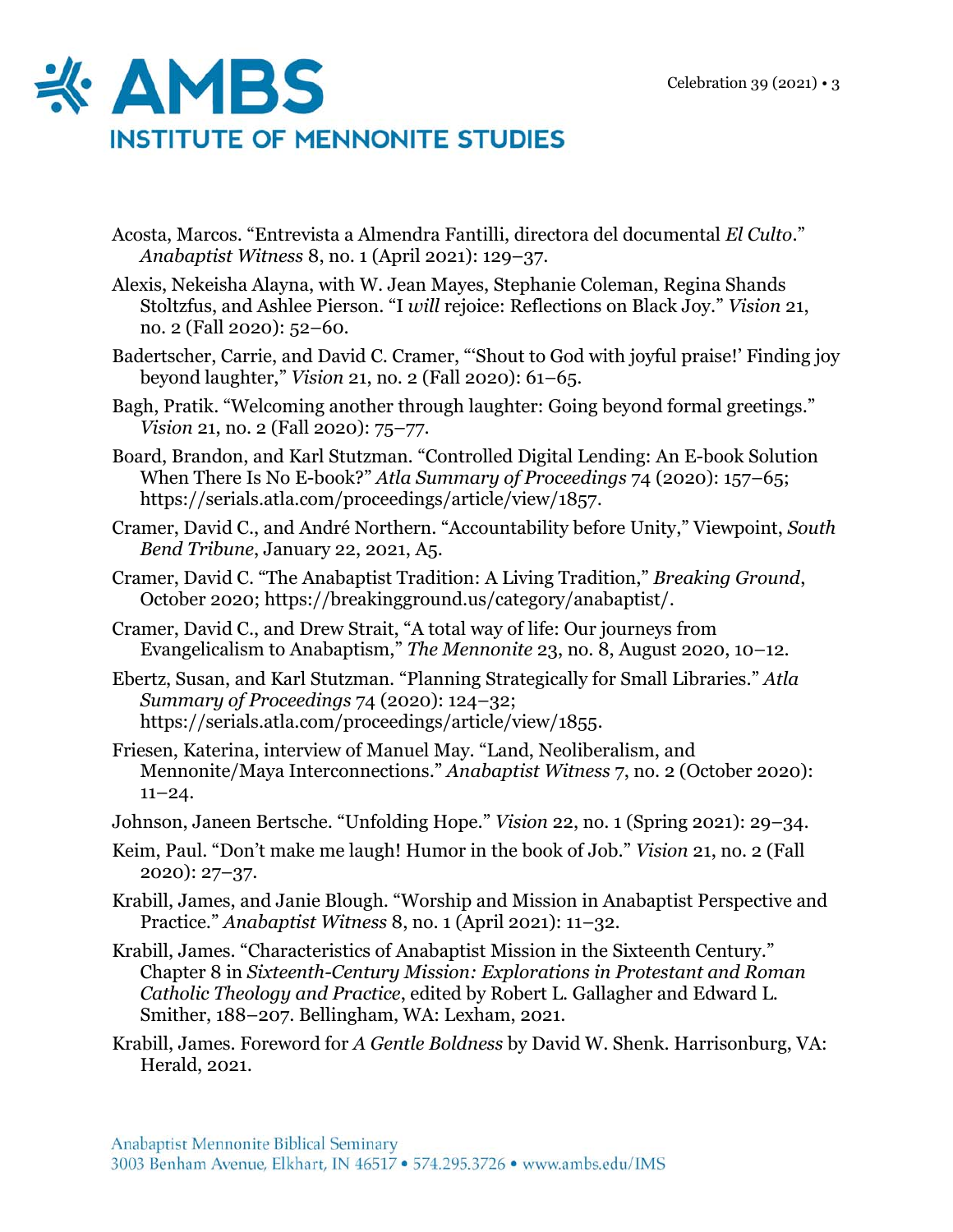

- Acosta, Marcos. "Entrevista a Almendra Fantilli, directora del documental *El Culto*." *Anabaptist Witness* 8, no. 1 (April 2021): 129–37.
- Alexis, Nekeisha Alayna, with W. Jean Mayes, Stephanie Coleman, Regina Shands Stoltzfus, and Ashlee Pierson. "I *will* rejoice: Reflections on Black Joy." *Vision* 21, no. 2 (Fall 2020): 52–60.
- Badertscher, Carrie, and David C. Cramer, "'Shout to God with joyful praise!' Finding joy beyond laughter," *Vision* 21, no. 2 (Fall 2020): 61–65.
- Bagh, Pratik. "Welcoming another through laughter: Going beyond formal greetings." *Vision* 21, no. 2 (Fall 2020): 75–77.
- Board, Brandon, and Karl Stutzman. "Controlled Digital Lending: An E-book Solution When There Is No E-book?" *Atla Summary of Proceedings* 74 (2020): 157–65; https://serials.atla.com/proceedings/article/view/1857.
- Cramer, David C., and André Northern. "Accountability before Unity," Viewpoint, *South Bend Tribune*, January 22, 2021, A5.
- Cramer, David C. "The Anabaptist Tradition: A Living Tradition," *Breaking Ground*, October 2020; https://breakingground.us/category/anabaptist/.
- Cramer, David C., and Drew Strait, "A total way of life: Our journeys from Evangelicalism to Anabaptism," *The Mennonite* 23, no. 8, August 2020, 10–12.
- Ebertz, Susan, and Karl Stutzman. "Planning Strategically for Small Libraries." *Atla Summary of Proceedings* 74 (2020): 124–32; https://serials.atla.com/proceedings/article/view/1855.
- Friesen, Katerina, interview of Manuel May. "Land, Neoliberalism, and Mennonite/Maya Interconnections." *Anabaptist Witness* 7, no. 2 (October 2020):  $11-24.$
- Johnson, Janeen Bertsche. "Unfolding Hope." *Vision* 22, no. 1 (Spring 2021): 29–34.
- Keim, Paul. "Don't make me laugh! Humor in the book of Job." *Vision* 21, no. 2 (Fall 2020): 27–37.
- Krabill, James, and Janie Blough. "Worship and Mission in Anabaptist Perspective and Practice." *Anabaptist Witness* 8, no. 1 (April 2021): 11–32.
- Krabill, James. "Characteristics of Anabaptist Mission in the Sixteenth Century." Chapter 8 in *Sixteenth-Century Mission: Explorations in Protestant and Roman Catholic Theology and Practice*, edited by Robert L. Gallagher and Edward L. Smither, 188–207. Bellingham, WA: Lexham, 2021.
- Krabill, James. Foreword for *A Gentle Boldness* by David W. Shenk. Harrisonburg, VA: Herald, 2021.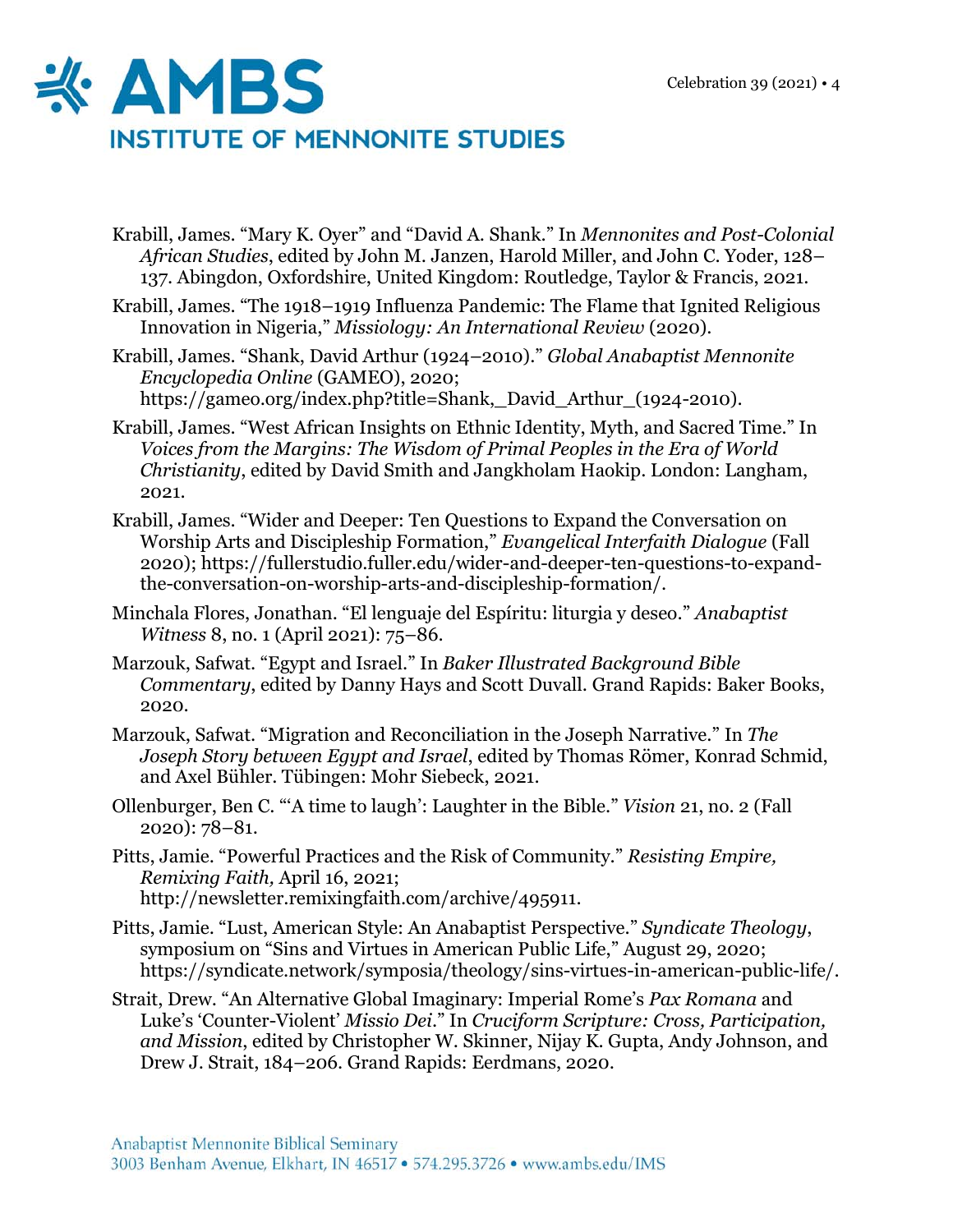

- Krabill, James. "Mary K. Oyer" and "David A. Shank." In *Mennonites and Post-Colonial African Studies*, edited by John M. Janzen, Harold Miller, and John C. Yoder, 128– 137. Abingdon, Oxfordshire, United Kingdom: Routledge, Taylor & Francis, 2021.
- Krabill, James. "The 1918–1919 Influenza Pandemic: The Flame that Ignited Religious Innovation in Nigeria," *Missiology: An International Review* (2020).
- Krabill, James. "Shank, David Arthur (1924–2010)." *Global Anabaptist Mennonite Encyclopedia Online* (GAMEO), 2020; https://gameo.org/index.php?title=Shank, David Arthur (1924-2010).
- Krabill, James. "West African Insights on Ethnic Identity, Myth, and Sacred Time." In *Voices from the Margins: The Wisdom of Primal Peoples in the Era of World Christianity*, edited by David Smith and Jangkholam Haokip. London: Langham, 2021.
- Krabill, James. "Wider and Deeper: Ten Questions to Expand the Conversation on Worship Arts and Discipleship Formation," *Evangelical Interfaith Dialogue* (Fall 2020); https://fullerstudio.fuller.edu/wider-and-deeper-ten-questions-to-expandthe-conversation-on-worship-arts-and-discipleship-formation/.
- Minchala Flores, Jonathan. "El lenguaje del Espíritu: liturgia y deseo." *Anabaptist Witness* 8, no. 1 (April 2021): 75–86.
- Marzouk, Safwat. "Egypt and Israel." In *Baker Illustrated Background Bible Commentary*, edited by Danny Hays and Scott Duvall. Grand Rapids: Baker Books, 2020.
- Marzouk, Safwat. "Migration and Reconciliation in the Joseph Narrative." In *The Joseph Story between Egypt and Israel*, edited by Thomas Römer, Konrad Schmid, and Axel Bühler. Tübingen: Mohr Siebeck, 2021.
- Ollenburger, Ben C. "'A time to laugh': Laughter in the Bible." *Vision* 21, no. 2 (Fall 2020): 78–81.
- Pitts, Jamie. "Powerful Practices and the Risk of Community." *Resisting Empire, Remixing Faith,* April 16, 2021; http://newsletter.remixingfaith.com/archive/495911.
- Pitts, Jamie. "Lust, American Style: An Anabaptist Perspective." *Syndicate Theology*, symposium on "Sins and Virtues in American Public Life," August 29, 2020; https://syndicate.network/symposia/theology/sins-virtues-in-american-public-life/.
- Strait, Drew. "An Alternative Global Imaginary: Imperial Rome's *Pax Romana* and Luke's 'Counter-Violent' *Missio Dei*." In *Cruciform Scripture: Cross, Participation, and Mission*, edited by Christopher W. Skinner, Nijay K. Gupta, Andy Johnson, and Drew J. Strait, 184–206. Grand Rapids: Eerdmans, 2020.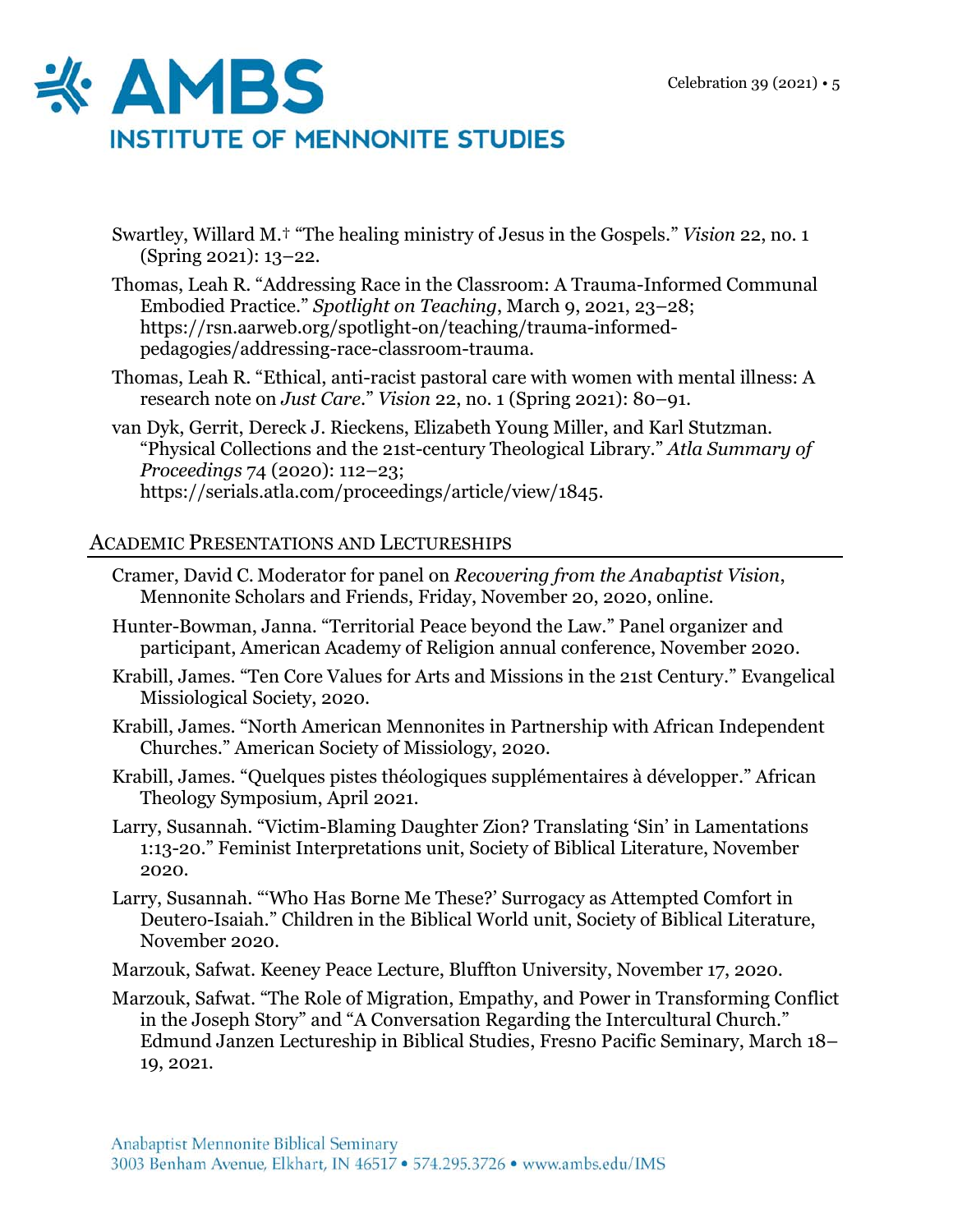

- Swartley, Willard M.† "The healing ministry of Jesus in the Gospels." *Vision* 22, no. 1 (Spring 2021): 13–22.
- Thomas, Leah R. "Addressing Race in the Classroom: A Trauma-Informed Communal Embodied Practice." *Spotlight on Teaching*, March 9, 2021, 23–28; https://rsn.aarweb.org/spotlight-on/teaching/trauma-informedpedagogies/addressing-race-classroom-trauma.
- Thomas, Leah R. "Ethical, anti-racist pastoral care with women with mental illness: A research note on *Just Care*." *Vision* 22, no. 1 (Spring 2021): 80–91.
- van Dyk, Gerrit, Dereck J. Rieckens, Elizabeth Young Miller, and Karl Stutzman. "Physical Collections and the 21st-century Theological Library." *Atla Summary of Proceedings* 74 (2020): 112–23; https://serials.atla.com/proceedings/article/view/1845.

## ACADEMIC PRESENTATIONS AND LECTURESHIPS

- Cramer, David C. Moderator for panel on *Recovering from the Anabaptist Vision*, Mennonite Scholars and Friends, Friday, November 20, 2020, online.
- Hunter-Bowman, Janna. "Territorial Peace beyond the Law." Panel organizer and participant, American Academy of Religion annual conference, November 2020.
- Krabill, James. "Ten Core Values for Arts and Missions in the 21st Century." Evangelical Missiological Society, 2020.
- Krabill, James. "North American Mennonites in Partnership with African Independent Churches." American Society of Missiology, 2020.
- Krabill, James. "Quelques pistes théologiques supplémentaires à développer." African Theology Symposium, April 2021.
- Larry, Susannah. "Victim-Blaming Daughter Zion? Translating 'Sin' in Lamentations 1:13-20." Feminist Interpretations unit, Society of Biblical Literature, November 2020.
- Larry, Susannah. "'Who Has Borne Me These?' Surrogacy as Attempted Comfort in Deutero-Isaiah." Children in the Biblical World unit, Society of Biblical Literature, November 2020.
- Marzouk, Safwat. Keeney Peace Lecture, Bluffton University, November 17, 2020.
- Marzouk, Safwat. "The Role of Migration, Empathy, and Power in Transforming Conflict in the Joseph Story" and "A Conversation Regarding the Intercultural Church." Edmund Janzen Lectureship in Biblical Studies, Fresno Pacific Seminary, March 18– 19, 2021.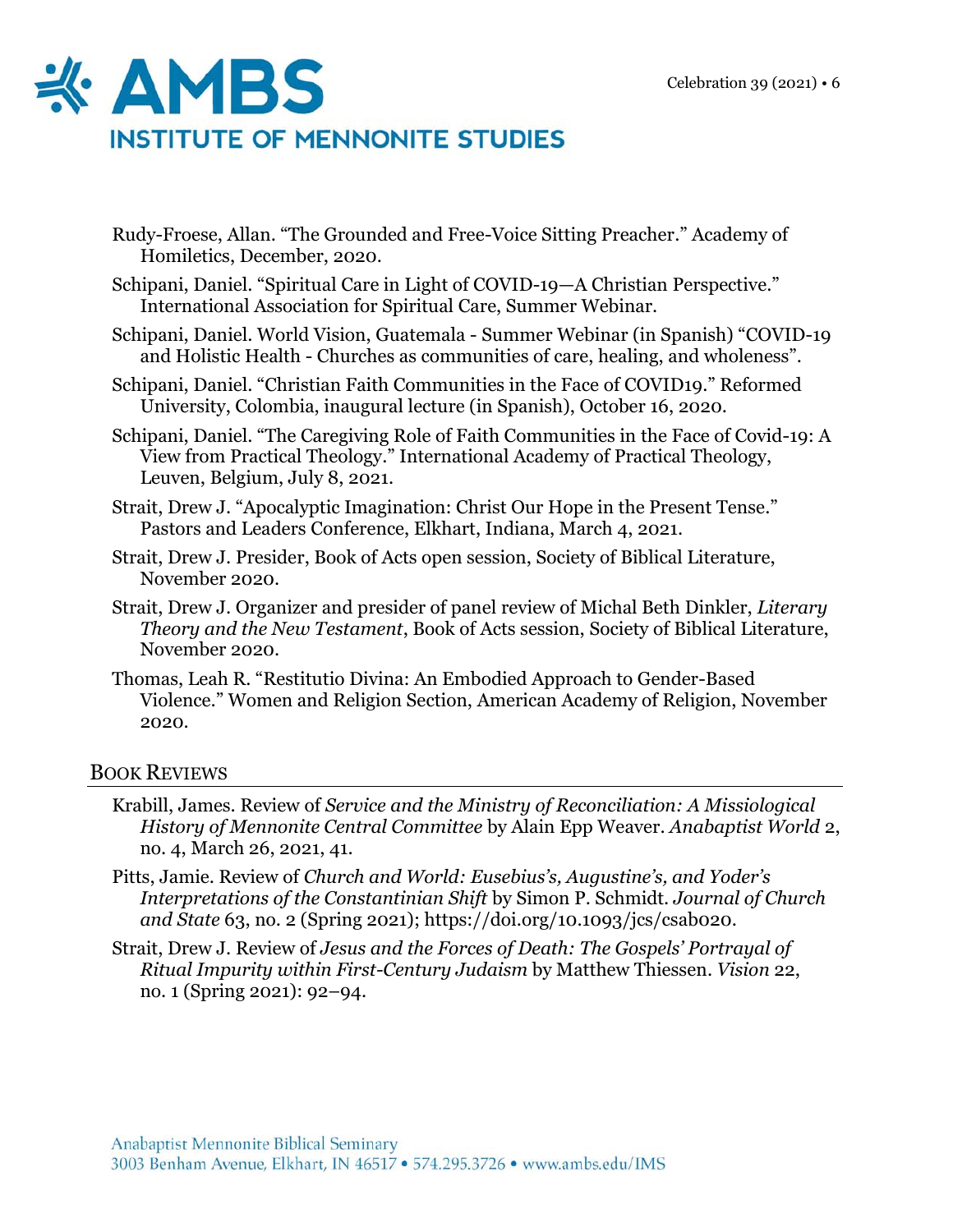

- Rudy-Froese, Allan. "The Grounded and Free-Voice Sitting Preacher." Academy of Homiletics, December, 2020.
- Schipani, Daniel. "Spiritual Care in Light of COVID-19—A Christian Perspective." International Association for Spiritual Care, Summer Webinar.
- Schipani, Daniel. World Vision, Guatemala Summer Webinar (in Spanish) "COVID-19 and Holistic Health - Churches as communities of care, healing, and wholeness".
- Schipani, Daniel. "Christian Faith Communities in the Face of COVID19." Reformed University, Colombia, inaugural lecture (in Spanish), October 16, 2020.
- Schipani, Daniel. "The Caregiving Role of Faith Communities in the Face of Covid-19: A View from Practical Theology." International Academy of Practical Theology, Leuven, Belgium, July 8, 2021.
- Strait, Drew J. "Apocalyptic Imagination: Christ Our Hope in the Present Tense." Pastors and Leaders Conference, Elkhart, Indiana, March 4, 2021.
- Strait, Drew J. Presider, Book of Acts open session, Society of Biblical Literature, November 2020.
- Strait, Drew J. Organizer and presider of panel review of Michal Beth Dinkler, *Literary Theory and the New Testament*, Book of Acts session, Society of Biblical Literature, November 2020.
- Thomas, Leah R. "Restitutio Divina: An Embodied Approach to Gender-Based Violence." Women and Religion Section, American Academy of Religion, November 2020.

## BOOK REVIEWS

- Krabill, James. Review of *Service and the Ministry of Reconciliation: A Missiological History of Mennonite Central Committee* by Alain Epp Weaver. *Anabaptist World* 2, no. 4, March 26, 2021, 41.
- Pitts, Jamie. Review of *Church and World: Eusebius's, Augustine's, and Yoder's Interpretations of the Constantinian Shift* by Simon P. Schmidt. *Journal of Church and State* 63, no. 2 (Spring 2021); https://doi.org/10.1093/jcs/csab020.
- Strait, Drew J. Review of *Jesus and the Forces of Death: The Gospels' Portrayal of Ritual Impurity within First-Century Judaism* by Matthew Thiessen. *Vision* 22, no. 1 (Spring 2021): 92–94.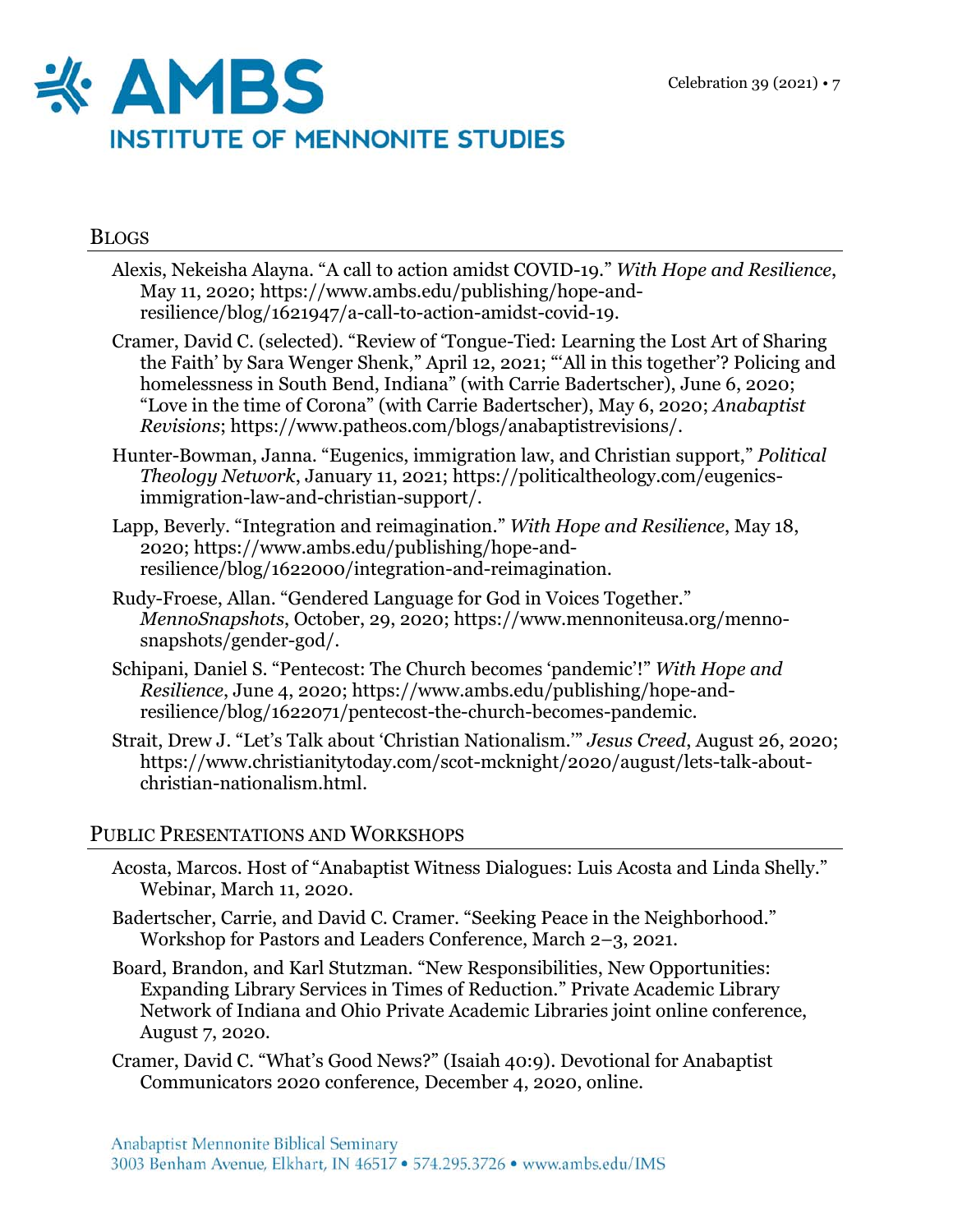

#### BLOGS

- Alexis, Nekeisha Alayna. "A call to action amidst COVID-19." *With Hope and Resilience*, May 11, 2020; https://www.ambs.edu/publishing/hope-andresilience/blog/1621947/a-call-to-action-amidst-covid-19.
- Cramer, David C. (selected). "Review of 'Tongue-Tied: Learning the Lost Art of Sharing the Faith' by Sara Wenger Shenk," April 12, 2021; "'All in this together'? Policing and homelessness in South Bend, Indiana" (with Carrie Badertscher), June 6, 2020; "Love in the time of Corona" (with Carrie Badertscher), May 6, 2020; *Anabaptist Revisions*; https://www.patheos.com/blogs/anabaptistrevisions/.
- Hunter-Bowman, Janna. "Eugenics, immigration law, and Christian support," *Political Theology Network*, January 11, 2021; https://politicaltheology.com/eugenicsimmigration-law-and-christian-support/.
- Lapp, Beverly. "Integration and reimagination." *With Hope and Resilience*, May 18, 2020; https://www.ambs.edu/publishing/hope-andresilience/blog/1622000/integration-and-reimagination.
- Rudy-Froese, Allan. "Gendered Language for God in Voices Together." *MennoSnapshots*, October, 29, 2020; https://www.mennoniteusa.org/mennosnapshots/gender-god/.
- Schipani, Daniel S. "Pentecost: The Church becomes 'pandemic'!" *With Hope and Resilience*, June 4, 2020; https://www.ambs.edu/publishing/hope-andresilience/blog/1622071/pentecost-the-church-becomes-pandemic.
- Strait, Drew J. "Let's Talk about 'Christian Nationalism.'" *Jesus Creed*, August 26, 2020; https://www.christianitytoday.com/scot-mcknight/2020/august/lets-talk-aboutchristian-nationalism.html.

## PUBLIC PRESENTATIONS AND WORKSHOPS

- Acosta, Marcos. Host of "Anabaptist Witness Dialogues: Luis Acosta and Linda Shelly." Webinar, March 11, 2020.
- Badertscher, Carrie, and David C. Cramer. "Seeking Peace in the Neighborhood." Workshop for Pastors and Leaders Conference, March 2–3, 2021.
- Board, Brandon, and Karl Stutzman. "New Responsibilities, New Opportunities: Expanding Library Services in Times of Reduction." Private Academic Library Network of Indiana and Ohio Private Academic Libraries joint online conference, August 7, 2020.
- Cramer, David C. "What's Good News?" (Isaiah 40:9). Devotional for Anabaptist Communicators 2020 conference, December 4, 2020, online.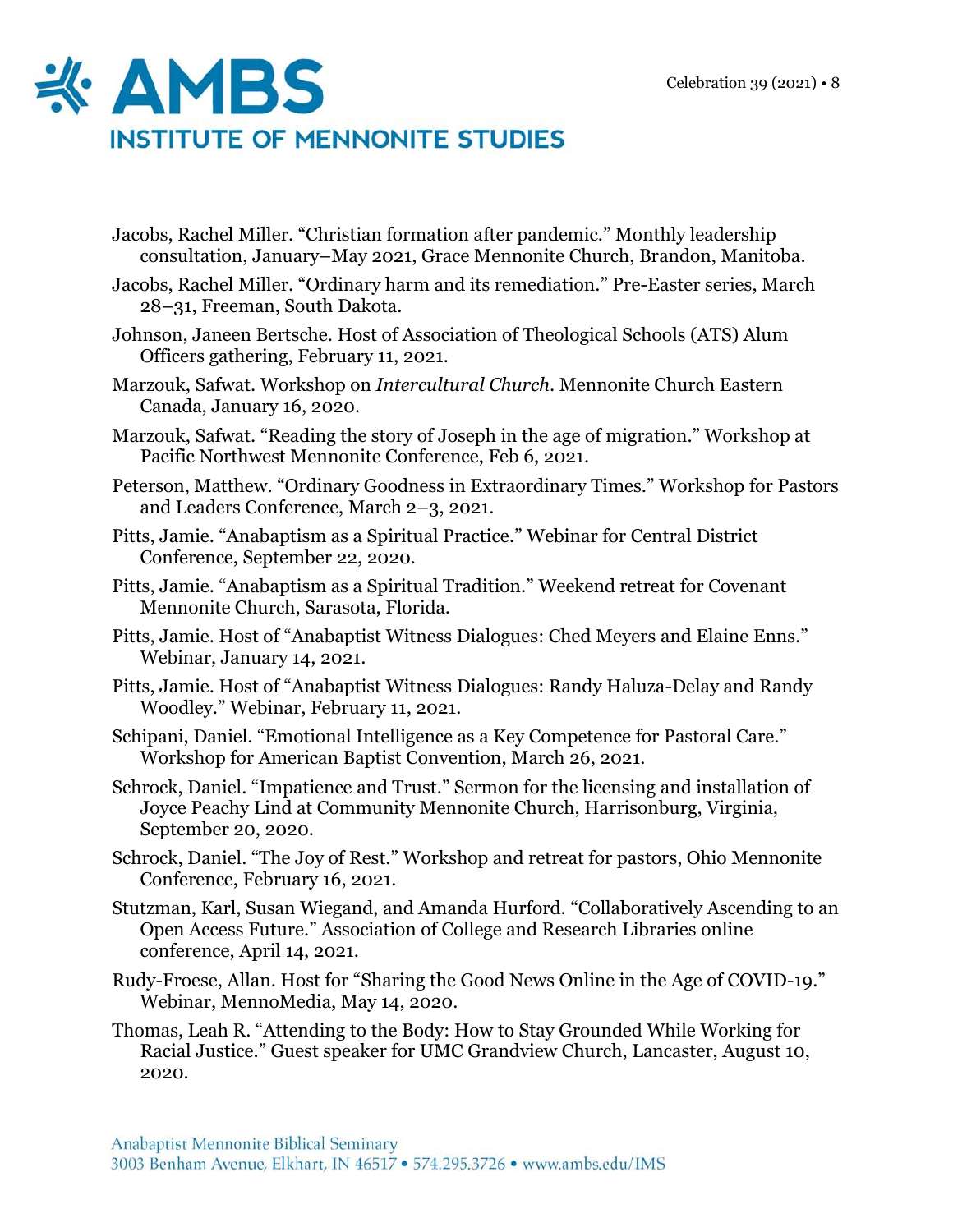

- Jacobs, Rachel Miller. "Christian formation after pandemic." Monthly leadership consultation, January–May 2021, Grace Mennonite Church, Brandon, Manitoba.
- Jacobs, Rachel Miller. "Ordinary harm and its remediation." Pre-Easter series, March 28–31, Freeman, South Dakota.
- Johnson, Janeen Bertsche. Host of Association of Theological Schools (ATS) Alum Officers gathering, February 11, 2021.
- Marzouk, Safwat. Workshop on *Intercultural Church*. Mennonite Church Eastern Canada, January 16, 2020.
- Marzouk, Safwat. "Reading the story of Joseph in the age of migration." Workshop at Pacific Northwest Mennonite Conference, Feb 6, 2021.
- Peterson, Matthew. "Ordinary Goodness in Extraordinary Times." Workshop for Pastors and Leaders Conference, March 2–3, 2021.
- Pitts, Jamie. "Anabaptism as a Spiritual Practice." Webinar for Central District Conference, September 22, 2020.
- Pitts, Jamie. "Anabaptism as a Spiritual Tradition." Weekend retreat for Covenant Mennonite Church, Sarasota, Florida.
- Pitts, Jamie. Host of "Anabaptist Witness Dialogues: Ched Meyers and Elaine Enns." Webinar, January 14, 2021.
- Pitts, Jamie. Host of "Anabaptist Witness Dialogues: Randy Haluza-Delay and Randy Woodley." Webinar, February 11, 2021.
- Schipani, Daniel. "Emotional Intelligence as a Key Competence for Pastoral Care." Workshop for American Baptist Convention, March 26, 2021.
- Schrock, Daniel. "Impatience and Trust." Sermon for the licensing and installation of Joyce Peachy Lind at Community Mennonite Church, Harrisonburg, Virginia, September 20, 2020.
- Schrock, Daniel. "The Joy of Rest." Workshop and retreat for pastors, Ohio Mennonite Conference, February 16, 2021.
- Stutzman, Karl, Susan Wiegand, and Amanda Hurford. "Collaboratively Ascending to an Open Access Future." Association of College and Research Libraries online conference, April 14, 2021.
- Rudy-Froese, Allan. Host for "Sharing the Good News Online in the Age of COVID-19." Webinar, MennoMedia, May 14, 2020.
- Thomas, Leah R. "Attending to the Body: How to Stay Grounded While Working for Racial Justice." Guest speaker for UMC Grandview Church, Lancaster, August 10, 2020.